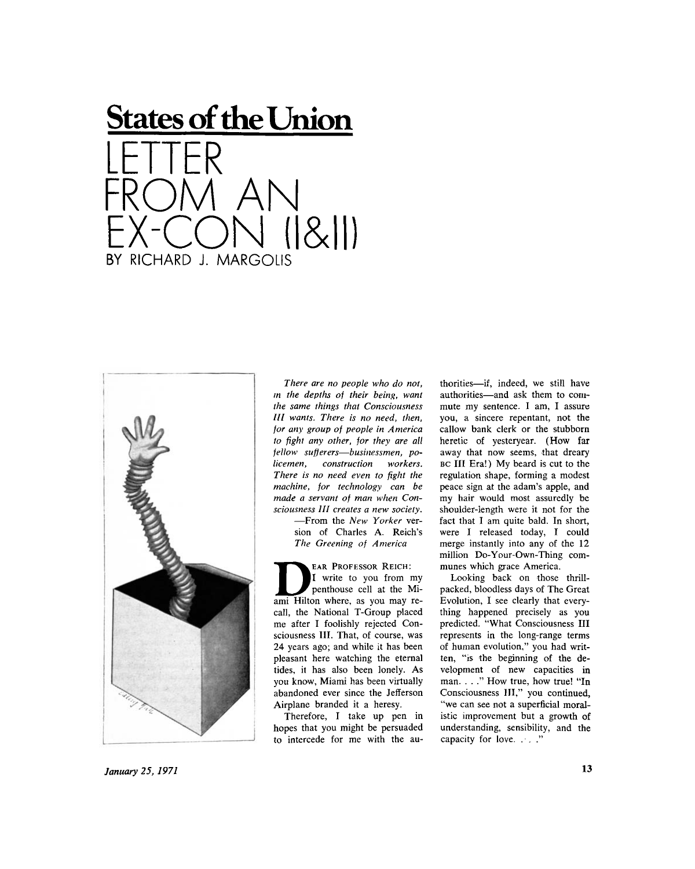



*There are no people who do not, in the depths of their being, want the same things that Consciousness III wants. There is no need, then, for any group of people in America to fight any other, for they are all fellow sufferers—businessmen, policemen, construction workers. There is no need even to fight the machine, for technology can be made a servant of man when Consciousness III creates a new society.* 

—From the *New Yorker* version of Charles A. Reich's *The Greening of America* 

EAR PROFESSOR REICH: I write to you from my penthouse cell at the Miami Hilton where, as you may recall, the National T-Group placed me after I foolishly rejected Consciousness III. That, of course, was 24 years ago; and while it has been pleasant here watching the eternal tides, it has also been lonely. As you know, Miami has been virtually abandoned ever since the Jefferson Airplane branded it a heresy.

Therefore, I take up pen in hopes that you might be persuaded to intercede for me with the authorities—if, indeed, we still have authorities—and ask them to commute my sentence. I am, I assure you, a sincere repentant, not the callow bank clerk or the stubborn heretic of yesteryear. (How far away that now seems, that dreary BC III Era!) My beard is cut to the regulation shape, forming a modest peace sign at the adam's apple, and my hair would most assuredly be shoulder-length were it not for the fact that I am quite bald. In short, were I released today, I could merge instantly into any of the 12 million Do-Your-Own-Thing communes which grace America.

Looking back on those thrillpacked, bloodless days of The Great Evolution, I see clearly that everything happened precisely as you predicted. "What Consciousness III represents in the long-range terms of human evolution," you had written, "is the beginning of the development of new capacities in man. . . ." How true, how true! "In Consciousness III," you continued, "we can see not a superficial moralistic improvement but a growth of understanding, sensibility, and the capacity for love. . . . "